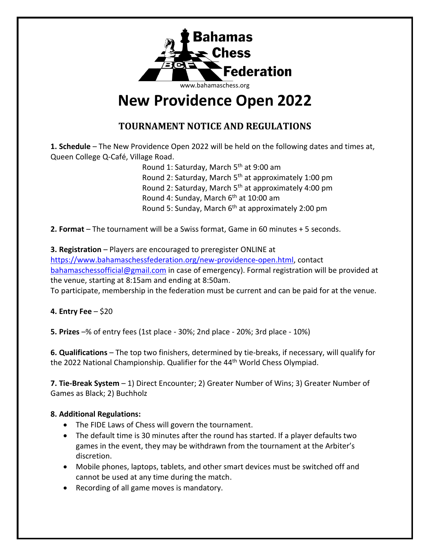

# **New Providence Open 2022**

## **TOURNAMENT NOTICE AND REGULATIONS**

**1. Schedule** – The New Providence Open 2022 will be held on the following dates and times at, Queen College Q-Café, Village Road.

> Round 1: Saturday, March 5<sup>th</sup> at 9:00 am Round 2: Saturday, March 5<sup>th</sup> at approximately 1:00 pm Round 2: Saturday, March 5<sup>th</sup> at approximately 4:00 pm Round 4: Sunday, March 6<sup>th</sup> at 10:00 am Round 5: Sunday, March 6<sup>th</sup> at approximately 2:00 pm

**2. Format** – The tournament will be a Swiss format, Game in 60 minutes + 5 seconds.

## **3. Registration** – Players are encouraged to preregister ONLINE at [https://www.bahamaschessfederation.org/new-providence-open.html,](https://www.bahamaschessfederation.org/new-providence-open.html) contact [bahamaschessofficial@gmail.com](mailto:bahamaschessofficial@gmail.com) in case of emergency). Formal registration will be provided at

the venue, starting at 8:15am and ending at 8:50am. To participate, membership in the federation must be current and can be paid for at the venue.

### **4. Entry Fee** – \$20

**5. Prizes** –% of entry fees (1st place - 30%; 2nd place - 20%; 3rd place - 10%)

**6. Qualifications** – The top two finishers, determined by tie-breaks, if necessary, will qualify for the 2022 National Championship. Qualifier for the 44<sup>th</sup> World Chess Olympiad.

**7. Tie-Break System** – 1) Direct Encounter; 2) Greater Number of Wins; 3) Greater Number of Games as Black; 2) Buchholz

#### **8. Additional Regulations:**

- The FIDE Laws of Chess will govern the tournament.
- The default time is 30 minutes after the round has started. If a player defaults two games in the event, they may be withdrawn from the tournament at the Arbiter's discretion.
- Mobile phones, laptops, tablets, and other smart devices must be switched off and cannot be used at any time during the match.
- Recording of all game moves is mandatory.